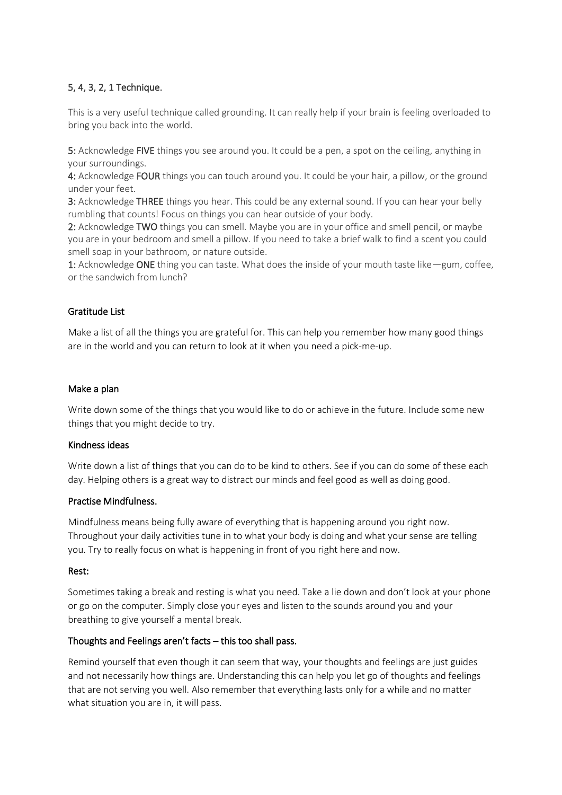# 5, 4, 3, 2, 1 Technique.

This is a very useful technique called grounding. It can really help if your brain is feeling overloaded to bring you back into the world.

5: Acknowledge FIVE things you see around you. It could be a pen, a spot on the ceiling, anything in your surroundings.

4: Acknowledge FOUR things you can touch around you. It could be your hair, a pillow, or the ground under your feet.

3: Acknowledge THREE things you hear. This could be any external sound. If you can hear your belly rumbling that counts! Focus on things you can hear outside of your body.

2: Acknowledge TWO things you can smell. Maybe you are in your office and smell pencil, or maybe you are in your bedroom and smell a pillow. If you need to take a brief walk to find a scent you could smell soap in your bathroom, or nature outside.

1: Acknowledge ONE thing you can taste. What does the inside of your mouth taste like—gum, coffee, or the sandwich from lunch?

## Gratitude List

Make a list of all the things you are grateful for. This can help you remember how many good things are in the world and you can return to look at it when you need a pick-me-up.

### Make a plan

Write down some of the things that you would like to do or achieve in the future. Include some new things that you might decide to try.

#### Kindness ideas

Write down a list of things that you can do to be kind to others. See if you can do some of these each day. Helping others is a great way to distract our minds and feel good as well as doing good.

#### Practise Mindfulness.

Mindfulness means being fully aware of everything that is happening around you right now. Throughout your daily activities tune in to what your body is doing and what your sense are telling you. Try to really focus on what is happening in front of you right here and now.

#### Rest:

Sometimes taking a break and resting is what you need. Take a lie down and don't look at your phone or go on the computer. Simply close your eyes and listen to the sounds around you and your breathing to give yourself a mental break.

## Thoughts and Feelings aren't facts – this too shall pass.

Remind yourself that even though it can seem that way, your thoughts and feelings are just guides and not necessarily how things are. Understanding this can help you let go of thoughts and feelings that are not serving you well. Also remember that everything lasts only for a while and no matter what situation you are in, it will pass.